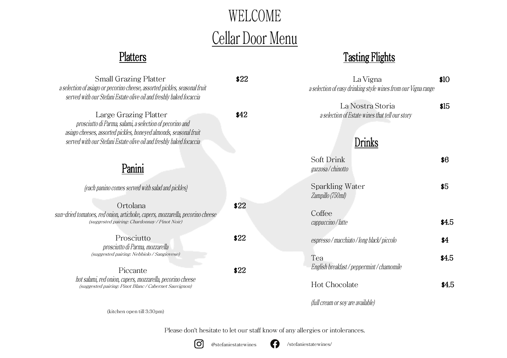# WELCOME Cellar Door Menu

### Platters Tasting Flights

| <b>Small Grazing Platter</b><br>a selection of asiago or pecorino cheese, assorted pickles, seasonal fruit<br>served with our Stefani Estate olive oil and freshly baked focaccia                                             | \$22 | La Vigna<br>a selection of easy drinking style wines from our Vigna range     | \$10  |
|-------------------------------------------------------------------------------------------------------------------------------------------------------------------------------------------------------------------------------|------|-------------------------------------------------------------------------------|-------|
| Large Grazing Platter<br>prosciutto di Parma, salami, a selection of pecorino and<br>asiago cheeses, assorted pickles, honeyed almonds, seasonal fruit<br>served with our Stefani Estate olive oil and freshly baked focaccia | \$42 | La Nostra Storia<br>a selection of Estate wines that tell our story<br>)rinks | \$15  |
| Panini                                                                                                                                                                                                                        |      | Soft Drink<br>gazzosa/chinotto                                                | \$6   |
| (each panino comes served with salad and pickles)                                                                                                                                                                             |      | Sparkling Water<br>Zampillo (750ml)                                           | \$5   |
| Ortolana<br>sun-dried tomatoes, red onion, artichoke, capers, mozzarella, pecorino cheese<br>(suggested pairing: Chardonnay / Pinot Noir)                                                                                     | \$22 | Coffee<br>cappuccino / latte                                                  | \$4.5 |
| Prosciutto<br>prosciutto di Parma, mozzarella                                                                                                                                                                                 | \$22 | espresso/macchiato/long black/piccolo                                         | \$4   |
| (suggested pairing: Nebbiolo / Sangiovese)<br>Piccante<br>hot salami, red onion, capers, mozzarella, pecorino cheese<br>(suggested pairing: Pinot Blanc / Cabernet Sauvignon)                                                 | \$22 | Tea<br>English breakfast / peppermint / chamomile                             | \$4.5 |
|                                                                                                                                                                                                                               |      | Hot Chocolate                                                                 | \$4.5 |
|                                                                                                                                                                                                                               |      | (full cream or soy are available)                                             |       |

(kitchen open till 3:30pm)

Please don't hesitate to let our staff know of any allergies or intolerances.